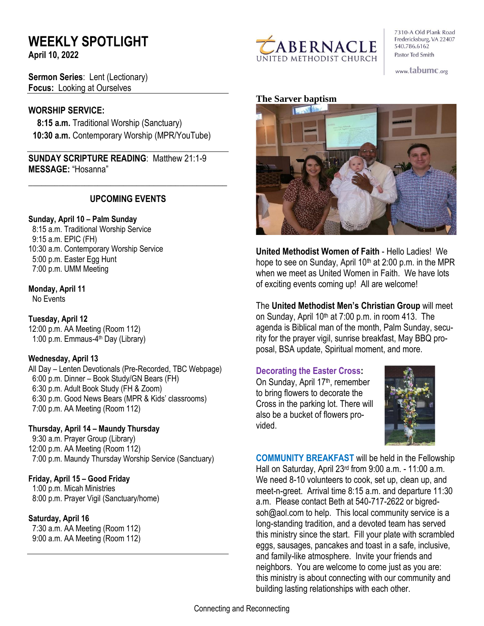# **WEEKLY SPOTLIGHT**

**April 10, 2022** 

**Sermon Series**: Lent (Lectionary) **Focus:** Looking at Ourselves

### **WORSHIP SERVICE:**

 **8:15 a.m.** Traditional Worship (Sanctuary)  **10:30 a.m.** Contemporary Worship (MPR/YouTube)

**SUNDAY SCRIPTURE READING**: Matthew 21:1-9 **MESSAGE:** "Hosanna"

# **UPCOMING EVENTS**

\_\_\_\_\_\_\_\_\_\_\_\_\_\_\_\_\_\_\_\_\_\_\_\_\_\_\_\_\_\_\_\_\_\_\_\_\_\_\_\_\_\_\_\_\_\_

#### **Sunday, April 10 – Palm Sunday**

8:15 a.m. Traditional Worship Service 9:15 a.m. EPIC (FH) 10:30 a.m. Contemporary Worship Service 5:00 p.m. Easter Egg Hunt 7:00 p.m. UMM Meeting

**Monday, April 11**

No Events

#### **Tuesday, April 12** 12:00 p.m. AA Meeting (Room 112)

1:00 p.m. Emmaus-4<sup>th</sup> Day (Library)

# **Wednesday, April 13**

All Day – Lenten Devotionals (Pre-Recorded, TBC Webpage) 6:00 p.m. Dinner – Book Study/GN Bears (FH) 6:30 p.m. Adult Book Study (FH & Zoom) 6:30 p.m. Good News Bears (MPR & Kids' classrooms) 7:00 p.m. AA Meeting (Room 112)

**Thursday, April 14 – Maundy Thursday** 9:30 a.m. Prayer Group (Library) 12:00 p.m. AA Meeting (Room 112) 7:00 p.m. Maundy Thursday Worship Service (Sanctuary)

# **Friday, April 15 – Good Friday**

1:00 p.m. Micah Ministries 8:00 p.m. Prayer Vigil (Sanctuary/home)

# **Saturday, April 16**

 7:30 a.m. AA Meeting (Room 112) 9:00 a.m. AA Meeting (Room 112)



7310-A Old Plank Road Fredericksburg, VA 22407 540.786.6162 Pastor Ted Smith

www.tabumc.org

#### **The Sarver baptism**



**United Methodist Women of Faith** - Hello Ladies! We hope to see on Sunday, April 10<sup>th</sup> at 2:00 p.m. in the MPR when we meet as United Women in Faith. We have lots of exciting events coming up! All are welcome!

The **United Methodist Men's Christian Group** will meet on Sunday, April 10<sup>th</sup> at 7:00 p.m. in room 413. The agenda is Biblical man of the month, Palm Sunday, security for the prayer vigil, sunrise breakfast, May BBQ proposal, BSA update, Spiritual moment, and more.

#### **Decorating the Easter Cross:**

On Sunday, April 17<sup>th</sup>, remember to bring flowers to decorate the Cross in the parking lot. There will also be a bucket of flowers provided.



**COMMUNITY BREAKFAST** will be held in the Fellowship Hall on Saturday, April 23rd from 9:00 a.m. - 11:00 a.m. We need 8-10 volunteers to cook, set up, clean up, and meet-n-greet. Arrival time 8:15 a.m. and departure 11:30 a.m. Please contact Beth at 540-717-2622 or bigredsoh@aol.com to help. This local community service is a long-standing tradition, and a devoted team has served this ministry since the start. Fill your plate with scrambled eggs, sausages, pancakes and toast in a safe, inclusive, and family-like atmosphere. Invite your friends and neighbors. You are welcome to come just as you are: this ministry is about connecting with our community and building lasting relationships with each other.